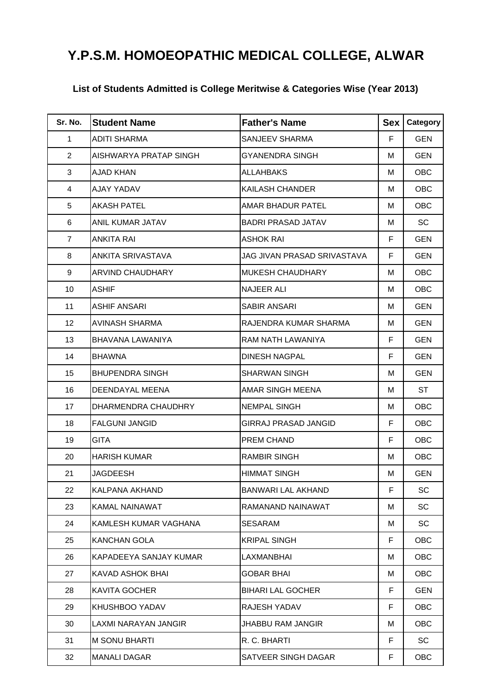## **Y.P.S.M. HOMOEOPATHIC MEDICAL COLLEGE, ALWAR**

## **List of Students Admitted is College Meritwise & Categories Wise (Year 2013)**

| Sr. No.        | <b>Student Name</b>     | <b>Father's Name</b>        | Sex | Category   |
|----------------|-------------------------|-----------------------------|-----|------------|
| $\mathbf{1}$   | <b>ADITI SHARMA</b>     | SANJEEV SHARMA              | F   | <b>GEN</b> |
| $\overline{2}$ | AISHWARYA PRATAP SINGH  | GYANENDRA SINGH             | м   | <b>GEN</b> |
| 3              | <b>AJAD KHAN</b>        | ALLAHBAKS                   | м   | <b>OBC</b> |
| 4              | AJAY YADAV              | KAILASH CHANDER             | м   | <b>OBC</b> |
| 5              | <b>AKASH PATEL</b>      | AMAR BHADUR PATEL           | М   | <b>OBC</b> |
| 6              | <b>ANIL KUMAR JATAV</b> | <b>BADRI PRASAD JATAV</b>   | м   | SC         |
| $\overline{7}$ | <b>ANKITA RAI</b>       | <b>ASHOK RAI</b>            | F.  | <b>GEN</b> |
| 8              | ANKITA SRIVASTAVA       | JAG JIVAN PRASAD SRIVASTAVA | F   | <b>GEN</b> |
| 9              | ARVIND CHAUDHARY        | <b>MUKESH CHAUDHARY</b>     | м   | <b>OBC</b> |
| 10             | <b>ASHIF</b>            | <b>NAJEER ALI</b>           | М   | <b>OBC</b> |
| 11             | <b>ASHIF ANSARI</b>     | SABIR ANSARI                | М   | <b>GEN</b> |
| 12             | <b>AVINASH SHARMA</b>   | RAJENDRA KUMAR SHARMA       | М   | <b>GEN</b> |
| 13             | BHAVANA LAWANIYA        | RAM NATH LAWANIYA           | F   | <b>GEN</b> |
| 14             | <b>BHAWNA</b>           | DINESH NAGPAL               | F.  | <b>GEN</b> |
| 15             | <b>BHUPENDRA SINGH</b>  | <b>SHARWAN SINGH</b>        | м   | <b>GEN</b> |
| 16             | DEENDAYAL MEENA         | AMAR SINGH MEENA            | М   | <b>ST</b>  |
| 17             | DHARMENDRA CHAUDHRY     | <b>NEMPAL SINGH</b>         | м   | <b>OBC</b> |
| 18             | <b>FALGUNI JANGID</b>   | GIRRAJ PRASAD JANGID        | F.  | <b>OBC</b> |
| 19             | <b>GITA</b>             | PREM CHAND                  | F   | <b>OBC</b> |
| 20             | HARISH KUMAR            | RAMBIR SINGH                | м   | <b>OBC</b> |
| 21             | <b>JAGDEESH</b>         | HIMMAT SINGH                | м   | <b>GEN</b> |
| 22             | <b>KALPANA AKHAND</b>   | BANWARI LAL AKHAND          | F   | SC         |
| 23             | KAMAL NAINAWAT          | RAMANAND NAINAWAT           | м   | SC         |
| 24             | KAMLESH KUMAR VAGHANA   | SESARAM                     | м   | SC         |
| 25             | KANCHAN GOLA            | KRIPAL SINGH                | F.  | OBC.       |
| 26             | KAPADEEYA SANJAY KUMAR  | LAXMANBHAI                  | м   | OBC        |
| 27             | KAVAD ASHOK BHAI        | <b>GOBAR BHAI</b>           | м   | <b>OBC</b> |
| 28             | <b>KAVITA GOCHER</b>    | BIHARI LAL GOCHER           | F.  | <b>GEN</b> |
| 29             | KHUSHBOO YADAV          | RAJESH YADAV                | F.  | <b>OBC</b> |
| 30             | LAXMI NARAYAN JANGIR    | JHABBU RAM JANGIR           | м   | <b>OBC</b> |
| 31             | <b>M SONU BHARTI</b>    | R. C. BHARTI                | F.  | SC         |
| 32             | <b>MANALI DAGAR</b>     | SATVEER SINGH DAGAR         | F.  | <b>OBC</b> |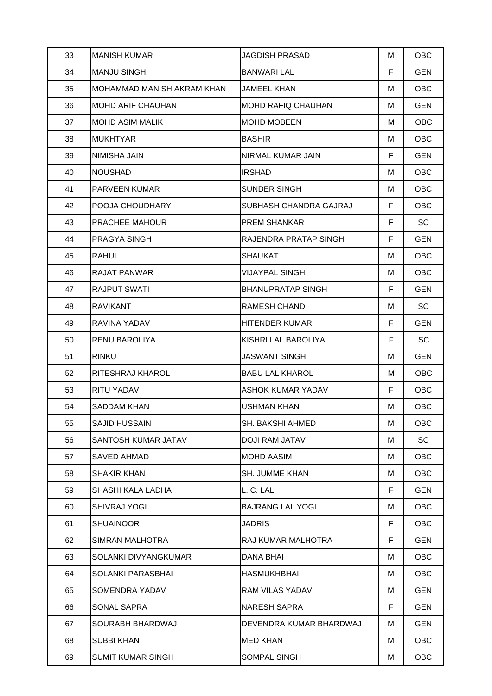| 33 | <b>MANISH KUMAR</b>        | <b>JAGDISH PRASAD</b>     | M  | OBC        |
|----|----------------------------|---------------------------|----|------------|
| 34 | <b>MANJU SINGH</b>         | <b>BANWARI LAL</b>        | F. | <b>GEN</b> |
| 35 | MOHAMMAD MANISH AKRAM KHAN | <b>JAMEEL KHAN</b>        | м  | <b>OBC</b> |
| 36 | <b>MOHD ARIF CHAUHAN</b>   | <b>MOHD RAFIQ CHAUHAN</b> | м  | <b>GEN</b> |
| 37 | <b>MOHD ASIM MALIK</b>     | <b>MOHD MOBEEN</b>        | м  | <b>OBC</b> |
| 38 | <b>MUKHTYAR</b>            | <b>BASHIR</b>             | м  | <b>OBC</b> |
| 39 | NIMISHA JAIN               | NIRMAL KUMAR JAIN         | F  | <b>GEN</b> |
| 40 | <b>NOUSHAD</b>             | IRSHAD                    | м  | <b>OBC</b> |
| 41 | PARVEEN KUMAR              | SUNDER SINGH              | м  | <b>OBC</b> |
| 42 | POOJA CHOUDHARY            | SUBHASH CHANDRA GAJRAJ    | F. | <b>OBC</b> |
| 43 | PRACHEE MAHOUR             | <b>PREM SHANKAR</b>       | F. | <b>SC</b>  |
| 44 | PRAGYA SINGH               | RAJENDRA PRATAP SINGH     | F. | <b>GEN</b> |
| 45 | <b>RAHUL</b>               | <b>SHAUKAT</b>            | м  | <b>OBC</b> |
| 46 | <b>RAJAT PANWAR</b>        | <b>VIJAYPAL SINGH</b>     | м  | <b>OBC</b> |
| 47 | <b>RAJPUT SWATI</b>        | <b>BHANUPRATAP SINGH</b>  | F. | GEN        |
| 48 | <b>RAVIKANT</b>            | RAMESH CHAND              | м  | <b>SC</b>  |
| 49 | RAVINA YADAV               | HITENDER KUMAR            | F. | <b>GEN</b> |
| 50 | RENU BAROLIYA              | KISHRI LAL BAROLIYA       | F. | <b>SC</b>  |
| 51 | <b>RINKU</b>               | <b>JASWANT SINGH</b>      | М  | <b>GEN</b> |
| 52 | RITESHRAJ KHAROL           | <b>BABU LAL KHAROL</b>    | М  | <b>OBC</b> |
| 53 | RITU YADAV                 | <b>ASHOK KUMAR YADAV</b>  | F. | <b>OBC</b> |
| 54 | <b>SADDAM KHAN</b>         | USHMAN KHAN               | м  | <b>OBC</b> |
| 55 | <b>SAJID HUSSAIN</b>       | SH. BAKSHI AHMED          | м  | <b>OBC</b> |
| 56 | SANTOSH KUMAR JATAV        | <b>DOJI RAM JATAV</b>     | м  | SC         |
| 57 | <b>SAVED AHMAD</b>         | MOHD AASIM                | м  | <b>OBC</b> |
| 58 | <b>SHAKIR KHAN</b>         | <b>SH. JUMME KHAN</b>     | м  | OBC        |
| 59 | SHASHI KALA LADHA          | L. C. LAL                 | F. | <b>GEN</b> |
| 60 | <b>SHIVRAJ YOGI</b>        | <b>BAJRANG LAL YOGI</b>   | м  | <b>OBC</b> |
| 61 | <b>SHUAINOOR</b>           | <b>JADRIS</b>             | F. | OBC        |
| 62 | SIMRAN MALHOTRA            | RAJ KUMAR MALHOTRA        | F. | <b>GEN</b> |
| 63 | SOLANKI DIVYANGKUMAR       | DANA BHAI                 | м  | <b>OBC</b> |
| 64 | <b>SOLANKI PARASBHAI</b>   | HASMUKHBHAI               | м  | <b>OBC</b> |
| 65 | SOMENDRA YADAV             | RAM VILAS YADAV           | М  | <b>GEN</b> |
| 66 | SONAL SAPRA                | <b>NARESH SAPRA</b>       | F. | GEN        |
| 67 | SOURABH BHARDWAJ           | DEVENDRA KUMAR BHARDWAJ   | м  | <b>GEN</b> |
| 68 | <b>SUBBI KHAN</b>          | <b>MED KHAN</b>           | м  | <b>OBC</b> |
| 69 | SUMIT KUMAR SINGH          | SOMPAL SINGH              | М  | <b>OBC</b> |